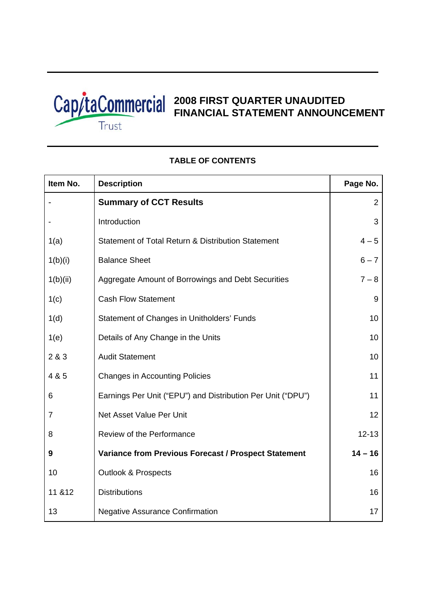

 $\overline{\Gamma}$ 

# **2008 FIRST QUARTER UNAUDITED FINANCIAL STATEMENT ANNOUNCEMENT**

٦

Τ

| Item No.       | <b>Description</b>                                          | Page No.  |
|----------------|-------------------------------------------------------------|-----------|
|                | <b>Summary of CCT Results</b>                               | 2         |
|                | Introduction                                                | 3         |
| 1(a)           | Statement of Total Return & Distribution Statement          | $4 - 5$   |
| 1(b)(i)        | <b>Balance Sheet</b>                                        | $6 - 7$   |
| 1(b)(ii)       | Aggregate Amount of Borrowings and Debt Securities          | $7 - 8$   |
| 1(c)           | <b>Cash Flow Statement</b>                                  | 9         |
| 1(d)           | Statement of Changes in Unitholders' Funds                  | 10        |
| 1(e)           | Details of Any Change in the Units                          | 10        |
| 2&8&3          | <b>Audit Statement</b>                                      | 10        |
| 4 & 5          | <b>Changes in Accounting Policies</b>                       | 11        |
| 6              | Earnings Per Unit ("EPU") and Distribution Per Unit ("DPU") | 11        |
| $\overline{7}$ | Net Asset Value Per Unit                                    | 12        |
| 8              | Review of the Performance                                   | $12 - 13$ |
| 9              | <b>Variance from Previous Forecast / Prospect Statement</b> | $14 - 16$ |
| 10             | <b>Outlook &amp; Prospects</b>                              | 16        |
| 11 & 12        | <b>Distributions</b>                                        | 16        |
| 13             | <b>Negative Assurance Confirmation</b>                      | 17        |

# **TABLE OF CONTENTS**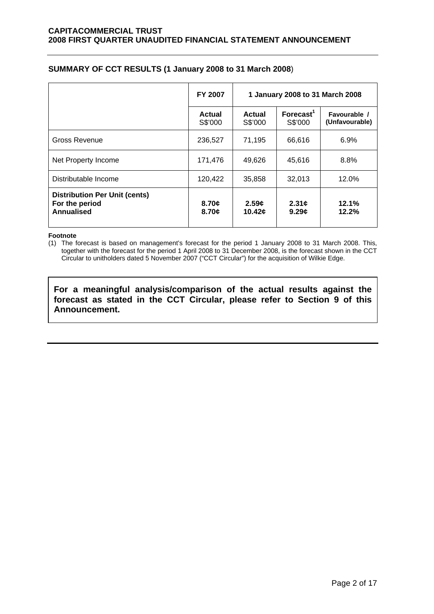| SUMMARY OF CCT RESULTS (1 January 2008 to 31 March 2008) |  |
|----------------------------------------------------------|--|
|----------------------------------------------------------|--|

|                                                                             | FY 2007                  | 1 January 2008 to 31 March 2008 |                                |                                |  |
|-----------------------------------------------------------------------------|--------------------------|---------------------------------|--------------------------------|--------------------------------|--|
|                                                                             | <b>Actual</b><br>S\$'000 | <b>Actual</b><br>S\$'000        | $\text{Forecast}^1$<br>S\$'000 | Favourable /<br>(Unfavourable) |  |
| Gross Revenue                                                               | 236,527                  | 71,195                          | 66,616                         | 6.9%                           |  |
| Net Property Income                                                         | 171,476                  | 49,626                          | 45,616                         | 8.8%                           |  |
| Distributable Income                                                        | 120,422                  | 35,858                          | 32,013                         | 12.0%                          |  |
| <b>Distribution Per Unit (cents)</b><br>For the period<br><b>Annualised</b> | 8.70c<br>8.70c           | 2.59c<br>10.42c                 | 2.31c<br>9.29c                 | 12.1%<br>12.2%                 |  |

### **Footnote**

(1) The forecast is based on management's forecast for the period 1 January 2008 to 31 March 2008. This, together with the forecast for the period 1 April 2008 to 31 December 2008, is the forecast shown in the CCT Circular to unitholders dated 5 November 2007 ("CCT Circular") for the acquisition of Wilkie Edge.

**For a meaningful analysis/comparison of the actual results against the forecast as stated in the CCT Circular, please refer to Section 9 of this Announcement.**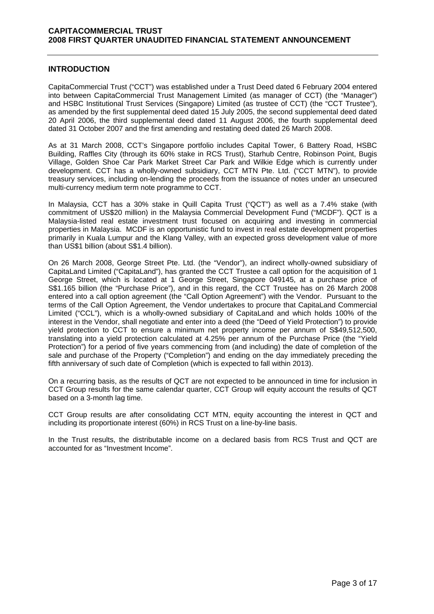# **INTRODUCTION**

CapitaCommercial Trust ("CCT") was established under a Trust Deed dated 6 February 2004 entered into between CapitaCommercial Trust Management Limited (as manager of CCT) (the "Manager") and HSBC Institutional Trust Services (Singapore) Limited (as trustee of CCT) (the "CCT Trustee"), as amended by the first supplemental deed dated 15 July 2005, the second supplemental deed dated 20 April 2006, the third supplemental deed dated 11 August 2006, the fourth supplemental deed dated 31 October 2007 and the first amending and restating deed dated 26 March 2008.

As at 31 March 2008, CCT's Singapore portfolio includes Capital Tower, 6 Battery Road, HSBC Building, Raffles City (through its 60% stake in RCS Trust), Starhub Centre, Robinson Point, Bugis Village, Golden Shoe Car Park Market Street Car Park and Wilkie Edge which is currently under development. CCT has a wholly-owned subsidiary, CCT MTN Pte. Ltd. ("CCT MTN"), to provide treasury services, including on-lending the proceeds from the issuance of notes under an unsecured multi-currency medium term note programme to CCT.

In Malaysia, CCT has a 30% stake in Quill Capita Trust ("QCT") as well as a 7.4% stake (with commitment of US\$20 million) in the Malaysia Commercial Development Fund ("MCDF"). QCT is a Malaysia-listed real estate investment trust focused on acquiring and investing in commercial properties in Malaysia. MCDF is an opportunistic fund to invest in real estate development properties primarily in Kuala Lumpur and the Klang Valley, with an expected gross development value of more than US\$1 billion (about S\$1.4 billion).

On 26 March 2008, George Street Pte. Ltd. (the "Vendor"), an indirect wholly-owned subsidiary of CapitaLand Limited ("CapitaLand"), has granted the CCT Trustee a call option for the acquisition of 1 George Street, which is located at 1 George Street, Singapore 049145, at a purchase price of S\$1.165 billion (the "Purchase Price"), and in this regard, the CCT Trustee has on 26 March 2008 entered into a call option agreement (the "Call Option Agreement") with the Vendor. Pursuant to the terms of the Call Option Agreement, the Vendor undertakes to procure that CapitaLand Commercial Limited ("CCL"), which is a wholly-owned subsidiary of CapitaLand and which holds 100% of the interest in the Vendor, shall negotiate and enter into a deed (the "Deed of Yield Protection") to provide yield protection to CCT to ensure a minimum net property income per annum of S\$49,512,500, translating into a yield protection calculated at 4.25% per annum of the Purchase Price (the "Yield Protection") for a period of five years commencing from (and including) the date of completion of the sale and purchase of the Property ("Completion") and ending on the day immediately preceding the fifth anniversary of such date of Completion (which is expected to fall within 2013).

On a recurring basis, as the results of QCT are not expected to be announced in time for inclusion in CCT Group results for the same calendar quarter, CCT Group will equity account the results of QCT based on a 3-month lag time.

CCT Group results are after consolidating CCT MTN, equity accounting the interest in QCT and including its proportionate interest (60%) in RCS Trust on a line-by-line basis.

In the Trust results, the distributable income on a declared basis from RCS Trust and QCT are accounted for as "Investment Income".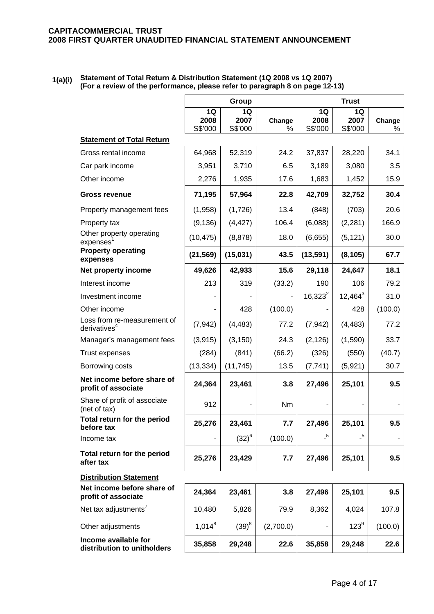| 1(a)(i) | Statement of Total Return & Distribution Statement (1Q 2008 vs 1Q 2007)      |
|---------|------------------------------------------------------------------------------|
|         | (For a review of the performance, please refer to paragraph 8 on page 12-13) |

|                                                     |                       | Group                 |             | <b>Trust</b>          |                       |             |
|-----------------------------------------------------|-----------------------|-----------------------|-------------|-----------------------|-----------------------|-------------|
|                                                     | 1Q<br>2008<br>S\$'000 | 1Q<br>2007<br>S\$'000 | Change<br>% | 1Q<br>2008<br>S\$'000 | 1Q<br>2007<br>S\$'000 | Change<br>% |
| <b>Statement of Total Return</b>                    |                       |                       |             |                       |                       |             |
| Gross rental income                                 | 64,968                | 52,319                | 24.2        | 37,837                | 28,220                | 34.1        |
| Car park income                                     | 3,951                 | 3,710                 | 6.5         | 3,189                 | 3,080                 | 3.5         |
| Other income                                        | 2,276                 | 1,935                 | 17.6        | 1,683                 | 1,452                 | 15.9        |
| <b>Gross revenue</b>                                | 71,195                | 57,964                | 22.8        | 42,709                | 32,752                | 30.4        |
| Property management fees                            | (1,958)               | (1,726)               | 13.4        | (848)                 | (703)                 | 20.6        |
| Property tax                                        | (9, 136)              | (4, 427)              | 106.4       | (6,088)               | (2, 281)              | 166.9       |
| Other property operating<br>expenses                | (10, 475)             | (8, 878)              | 18.0        | (6,655)               | (5, 121)              | 30.0        |
| <b>Property operating</b><br>expenses               | (21, 569)             | (15, 031)             | 43.5        | (13, 591)             | (8, 105)              | 67.7        |
| Net property income                                 | 49,626                | 42,933                | 15.6        | 29,118                | 24,647                | 18.1        |
| Interest income                                     | 213                   | 319                   | (33.2)      | 190                   | 106                   | 79.2        |
| Investment income                                   |                       |                       |             | $16,323^2$            | $12,464^3$            | 31.0        |
| Other income                                        |                       | 428                   | (100.0)     |                       | 428                   | (100.0)     |
| Loss from re-measurement of<br>derivatives $4$      | (7, 942)              | (4, 483)              | 77.2        | (7, 942)              | (4, 483)              | 77.2        |
| Manager's management fees                           | (3, 915)              | (3, 150)              | 24.3        | (2, 126)              | (1,590)               | 33.7        |
| <b>Trust expenses</b>                               | (284)                 | (841)                 | (66.2)      | (326)                 | (550)                 | (40.7)      |
| Borrowing costs                                     | (13, 334)             | (11, 745)             | 13.5        | (7, 741)              | (5,921)               | 30.7        |
| Net income before share of<br>profit of associate   | 24,364                | 23,461                | 3.8         | 27,496                | 25,101                | 9.5         |
| Share of profit of associate<br>(net of tax)        | 912                   |                       | Nm          |                       |                       |             |
| Total return for the period<br>before tax           | 25,276                | 23,461                | 7.7         | 27,496                | 25,101                | 9.5         |
| Income tax                                          |                       | $(32)^{6}$            | (100.0)     | $-5$                  | $\overline{.}^5$      |             |
| Total return for the period<br>after tax            | 25,276                | 23,429                | 7.7         | 27,496                | 25,101                | 9.5         |
| <b>Distribution Statement</b>                       |                       |                       |             |                       |                       |             |
| Net income before share of<br>profit of associate   | 24,364                | 23,461                | 3.8         | 27,496                | 25,101                | 9.5         |
| Net tax adjustments <sup>7</sup>                    | 10,480                | 5,826                 | 79.9        | 8,362                 | 4,024                 | 107.8       |
| Other adjustments                                   | $1,014^8$             | $(39)^8$              | (2,700.0)   |                       | $123^9$               | (100.0)     |
| Income available for<br>distribution to unitholders | 35,858                | 29,248                | 22.6        | 35,858                | 29,248                | 22.6        |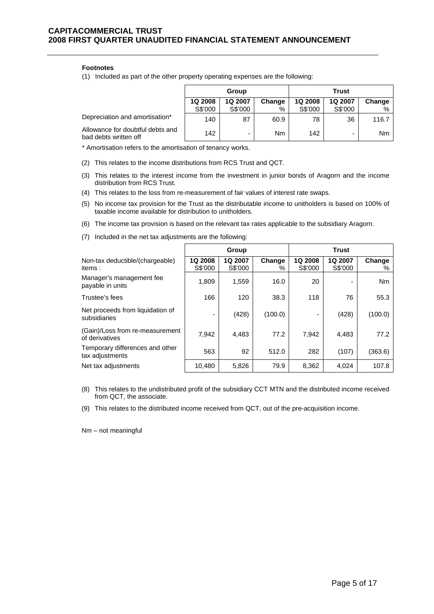### **Footnotes**

(1) Included as part of the other property operating expenses are the following:

|                                                           | Group   |                          |           | Trust   |         |        |
|-----------------------------------------------------------|---------|--------------------------|-----------|---------|---------|--------|
|                                                           | 1Q 2008 | 1Q 2007                  | Change    | 1Q 2008 | 1Q 2007 | Change |
|                                                           | S\$'000 | S\$'000                  | %         | S\$'000 | S\$'000 | $\%$   |
| Depreciation and amortisation*                            | 140     | 87                       | 60.9      | 78      | 36      | 116.7  |
| Allowance for doubtful debts and<br>bad debts written off | 142     | $\overline{\phantom{0}}$ | <b>Nm</b> | 142     | -       | Nm     |

\* Amortisation refers to the amortisation of tenancy works.

- (2) This relates to the income distributions from RCS Trust and QCT.
- (3) This relates to the interest income from the investment in junior bonds of Aragorn and the income distribution from RCS Trust.
- (4) This relates to the loss from re-measurement of fair values of interest rate swaps.
- (5) No income tax provision for the Trust as the distributable income to unitholders is based on 100% of taxable income available for distribution to unitholders.
- (6) The income tax provision is based on the relevant tax rates applicable to the subsidiary Aragorn.
- **Group Trust**  Non-tax deductible/(chargeable) items : **1Q 2008** S\$'000 **1Q 2007** S\$'000 **Change**   $\frac{0}{0}$ **1Q 2008** S\$'000 **1Q 2007** S\$'000 **Change**   $\frac{0}{6}$ Manager's management fee manager sinanagement ree  $\begin{vmatrix} 1,809 & 1,559 \end{vmatrix}$  16.0  $\begin{vmatrix} 20 & - \end{vmatrix}$  Nm Trustee's fees 166 120 38.3 118 76 55.3 Net proceeds from liquidation of ver proceeds non-inquidation of  $\begin{vmatrix} 1 & 428 \\ 1 & -1 \end{vmatrix}$  (428) (100.0) - (428) (100.0) (Gain)/Loss from re-measurement of derivatives 7,942 4,483 77.2 7,942 4,483 77.2 Temporary differences and other tax adjustments  $\frac{1}{2}$  and  $\frac{1}{2}$   $\frac{1}{2}$   $\frac{1}{2}$   $\frac{1}{2}$   $\frac{1}{2}$   $\frac{1}{2}$   $\frac{1}{2}$   $\frac{1}{2}$   $\frac{1}{2}$   $\frac{1}{2}$   $\frac{1}{2}$   $\frac{1}{2}$   $\frac{1}{2}$   $\frac{1}{2}$   $\frac{1}{2}$   $\frac{1}{2}$   $\frac{1}{2}$   $\frac{1}{2}$   $\frac{1}{2}$  Net tax adjustments 10,480 | 5,826 | 79.9 | 8,362 | 4,024 | 107.8
- (7) Included in the net tax adjustments are the following:

(8) This relates to the undistributed profit of the subsidiary CCT MTN and the distributed income received from QCT, the associate.

(9) This relates to the distributed income received from QCT, out of the pre-acquisition income.

Nm – not meaningful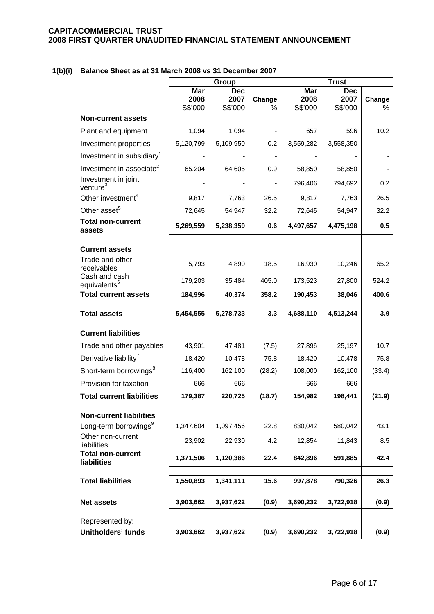# **1(b)(i) Balance Sheet as at 31 March 2008 vs 31 December 2007**

|                                                         | Group                  |                               | <b>Trust</b> |                        |                               |             |
|---------------------------------------------------------|------------------------|-------------------------------|--------------|------------------------|-------------------------------|-------------|
|                                                         | Mar<br>2008<br>S\$'000 | <b>Dec</b><br>2007<br>S\$'000 | Change<br>%  | Mar<br>2008<br>S\$'000 | <b>Dec</b><br>2007<br>S\$'000 | Change<br>% |
| <b>Non-current assets</b>                               |                        |                               |              |                        |                               |             |
| Plant and equipment                                     | 1,094                  | 1,094                         |              | 657                    | 596                           | 10.2        |
| Investment properties                                   | 5,120,799              | 5,109,950                     | 0.2          | 3,559,282              | 3,558,350                     |             |
| Investment in subsidiary <sup>1</sup>                   |                        |                               |              |                        |                               |             |
| Investment in associate <sup>2</sup>                    | 65,204                 | 64,605                        | 0.9          | 58,850                 | 58,850                        |             |
| Investment in joint<br>venture <sup>3</sup>             |                        |                               |              | 796,406                | 794,692                       | 0.2         |
| Other investment <sup>4</sup>                           | 9,817                  | 7,763                         | 26.5         | 9,817                  | 7,763                         | 26.5        |
| Other asset <sup>5</sup>                                | 72,645                 | 54,947                        | 32.2         | 72,645                 | 54,947                        | 32.2        |
| <b>Total non-current</b><br>assets                      | 5,269,559              | 5,238,359                     | 0.6          | 4,497,657              | 4,475,198                     | 0.5         |
| <b>Current assets</b>                                   |                        |                               |              |                        |                               |             |
| Trade and other                                         | 5,793                  | 4,890                         | 18.5         | 16,930                 | 10,246                        | 65.2        |
| receivables<br>Cash and cash                            | 179,203                | 35,484                        | 405.0        | 173,523                | 27,800                        | 524.2       |
| equivalents <sup>6</sup><br><b>Total current assets</b> | 184,996                | 40,374                        | 358.2        | 190,453                | 38,046                        | 400.6       |
|                                                         |                        |                               |              |                        |                               |             |
| <b>Total assets</b>                                     | 5,454,555              | 5,278,733                     | 3.3          | 4,688,110              | 4,513,244                     | 3.9         |
| <b>Current liabilities</b>                              |                        |                               |              |                        |                               |             |
| Trade and other payables                                | 43,901                 | 47,481                        | (7.5)        | 27,896                 | 25,197                        | 10.7        |
| Derivative liability <sup>7</sup>                       | 18,420                 | 10,478                        | 75.8         | 18,420                 | 10,478                        | 75.8        |
| Short-term borrowings <sup>8</sup>                      | 116,400                | 162,100                       | (28.2)       | 108,000                | 162,100                       | (33.4)      |
| Provision for taxation                                  | 666                    | 666                           |              | 666                    | 666                           |             |
| <b>Total current liabilities</b>                        | 179,387                | 220,725                       | (18.7)       | 154,982                | 198,441                       | (21.9)      |
| <b>Non-current liabilities</b>                          |                        |                               |              |                        |                               |             |
| Long-term borrowings <sup>9</sup>                       | 1,347,604              | 1,097,456                     | 22.8         | 830,042                | 580,042                       | 43.1        |
| Other non-current<br>liabilities                        | 23,902                 | 22,930                        | 4.2          | 12,854                 | 11,843                        | 8.5         |
| <b>Total non-current</b><br>liabilities                 | 1,371,506              | 1,120,386                     | 22.4         | 842,896                | 591,885                       | 42.4        |
| <b>Total liabilities</b>                                | 1,550,893              | 1,341,111                     | 15.6         | 997,878                | 790,326                       | 26.3        |
|                                                         |                        |                               |              |                        |                               |             |
| <b>Net assets</b>                                       | 3,903,662              | 3,937,622                     | (0.9)        | 3,690,232              | 3,722,918                     | (0.9)       |
| Represented by:                                         |                        |                               |              |                        |                               |             |
| <b>Unitholders' funds</b>                               | 3,903,662              | 3,937,622                     | (0.9)        | 3,690,232              | 3,722,918                     | (0.9)       |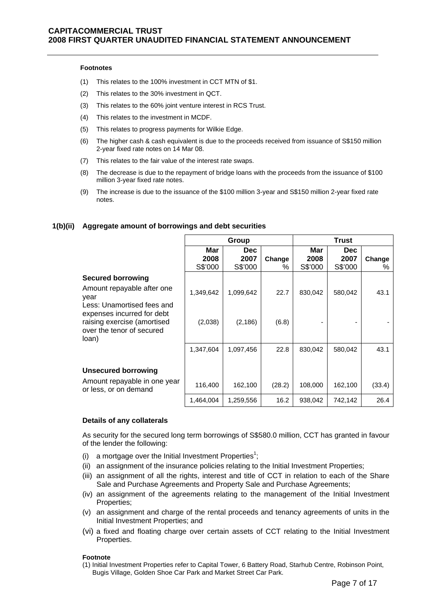### **Footnotes**

- (1) This relates to the 100% investment in CCT MTN of \$1.
- (2) This relates to the 30% investment in QCT.
- (3) This relates to the 60% joint venture interest in RCS Trust.
- (4) This relates to the investment in MCDF.
- (5) This relates to progress payments for Wilkie Edge.
- (6) The higher cash & cash equivalent is due to the proceeds received from issuance of S\$150 million 2-year fixed rate notes on 14 Mar 08.
- (7) This relates to the fair value of the interest rate swaps.
- (8) The decrease is due to the repayment of bridge loans with the proceeds from the issuance of \$100 million 3-year fixed rate notes.
- (9) The increase is due to the issuance of the \$100 million 3-year and S\$150 million 2-year fixed rate notes.

### **1(b)(ii) Aggregate amount of borrowings and debt securities**

|                                                                                                 | Group                  |                         |             | <b>Trust</b>           |                         |             |
|-------------------------------------------------------------------------------------------------|------------------------|-------------------------|-------------|------------------------|-------------------------|-------------|
|                                                                                                 | Mar<br>2008<br>S\$'000 | Dec.<br>2007<br>S\$'000 | Change<br>℅ | Mar<br>2008<br>S\$'000 | Dec.<br>2007<br>S\$'000 | Change<br>% |
| <b>Secured borrowing</b><br>Amount repayable after one<br>year<br>Less: Unamortised fees and    | 1,349,642              | 1,099,642               | 22.7        | 830,042                | 580,042                 | 43.1        |
| expenses incurred for debt<br>raising exercise (amortised<br>over the tenor of secured<br>loan) | (2,038)                | (2, 186)                | (6.8)       |                        |                         |             |
|                                                                                                 | 1,347,604              | 1,097,456               | 22.8        | 830,042                | 580,042                 | 43.1        |
| <b>Unsecured borrowing</b>                                                                      |                        |                         |             |                        |                         |             |
| Amount repayable in one year<br>or less, or on demand                                           | 116,400                | 162,100                 | (28.2)      | 108,000                | 162,100                 | (33.4)      |
|                                                                                                 | 1.464.004              | 1,259,556               | 16.2        | 938,042                | 742,142                 | 26.4        |

### **Details of any collaterals**

As security for the secured long term borrowings of S\$580.0 million, CCT has granted in favour of the lender the following:

- (i) a mortgage over the Initial Investment Properties<sup>1</sup>;
- (ii) an assignment of the insurance policies relating to the Initial Investment Properties;
- (iii) an assignment of all the rights, interest and title of CCT in relation to each of the Share Sale and Purchase Agreements and Property Sale and Purchase Agreements;
- (iv) an assignment of the agreements relating to the management of the Initial Investment Properties;
- (v) an assignment and charge of the rental proceeds and tenancy agreements of units in the Initial Investment Properties; and
- (vi) a fixed and floating charge over certain assets of CCT relating to the Initial Investment Properties.

### **Footnote**

(1) Initial Investment Properties refer to Capital Tower, 6 Battery Road, Starhub Centre, Robinson Point, Bugis Village, Golden Shoe Car Park and Market Street Car Park.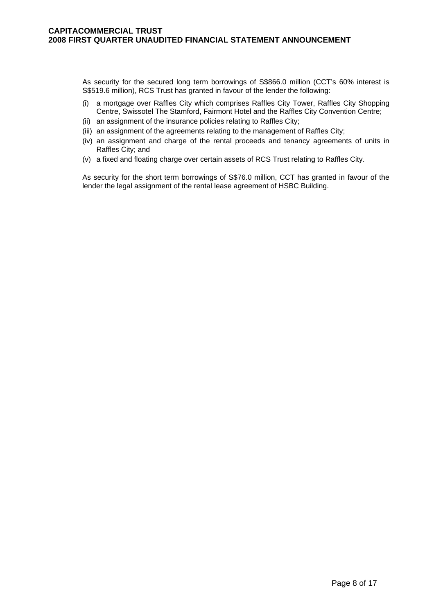As security for the secured long term borrowings of S\$866.0 million (CCT's 60% interest is S\$519.6 million), RCS Trust has granted in favour of the lender the following:

- (i) a mortgage over Raffles City which comprises Raffles City Tower, Raffles City Shopping Centre, Swissotel The Stamford, Fairmont Hotel and the Raffles City Convention Centre;
- (ii) an assignment of the insurance policies relating to Raffles City;
- (iii) an assignment of the agreements relating to the management of Raffles City;
- (iv) an assignment and charge of the rental proceeds and tenancy agreements of units in Raffles City; and
- (v) a fixed and floating charge over certain assets of RCS Trust relating to Raffles City.

As security for the short term borrowings of S\$76.0 million, CCT has granted in favour of the lender the legal assignment of the rental lease agreement of HSBC Building.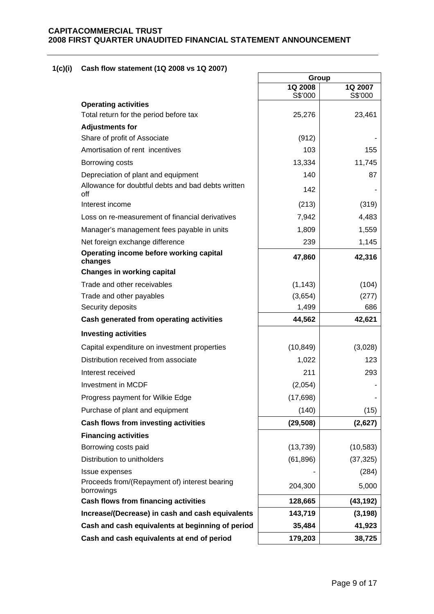# **1(c)(i) Cash flow statement (1Q 2008 vs 1Q 2007)**

|                                                             | Group     |           |  |
|-------------------------------------------------------------|-----------|-----------|--|
|                                                             | 1Q 2008   | 1Q 2007   |  |
| <b>Operating activities</b>                                 | S\$'000   | S\$'000   |  |
| Total return for the period before tax                      | 25,276    | 23,461    |  |
| <b>Adjustments for</b>                                      |           |           |  |
| Share of profit of Associate                                | (912)     |           |  |
| Amortisation of rent incentives                             | 103       | 155       |  |
| Borrowing costs                                             | 13,334    | 11,745    |  |
| Depreciation of plant and equipment                         | 140       | 87        |  |
| Allowance for doubtful debts and bad debts written<br>off   | 142       |           |  |
| Interest income                                             | (213)     | (319)     |  |
| Loss on re-measurement of financial derivatives             | 7,942     | 4,483     |  |
| Manager's management fees payable in units                  | 1,809     | 1,559     |  |
| Net foreign exchange difference                             | 239       | 1,145     |  |
| Operating income before working capital<br>changes          | 47,860    | 42,316    |  |
| <b>Changes in working capital</b>                           |           |           |  |
| Trade and other receivables                                 | (1, 143)  | (104)     |  |
| Trade and other payables                                    | (3,654)   | (277)     |  |
| Security deposits                                           | 1,499     | 686       |  |
| Cash generated from operating activities                    | 44,562    | 42,621    |  |
| <b>Investing activities</b>                                 |           |           |  |
| Capital expenditure on investment properties                | (10, 849) | (3,028)   |  |
| Distribution received from associate                        | 1,022     | 123       |  |
| Interest received                                           | 211       | 293       |  |
| Investment in MCDF                                          | (2,054)   |           |  |
| Progress payment for Wilkie Edge                            | (17, 698) |           |  |
| Purchase of plant and equipment                             | (140)     | (15)      |  |
| Cash flows from investing activities                        | (29, 508) | (2,627)   |  |
| <b>Financing activities</b>                                 |           |           |  |
| Borrowing costs paid                                        | (13, 739) | (10, 583) |  |
| Distribution to unitholders                                 | (61, 896) | (37, 325) |  |
| Issue expenses                                              |           | (284)     |  |
| Proceeds from/(Repayment of) interest bearing<br>borrowings | 204,300   | 5,000     |  |
| <b>Cash flows from financing activities</b>                 | 128,665   | (43, 192) |  |
| Increase/(Decrease) in cash and cash equivalents            | 143,719   | (3, 198)  |  |
| Cash and cash equivalents at beginning of period            | 35,484    | 41,923    |  |
| Cash and cash equivalents at end of period                  | 179,203   | 38,725    |  |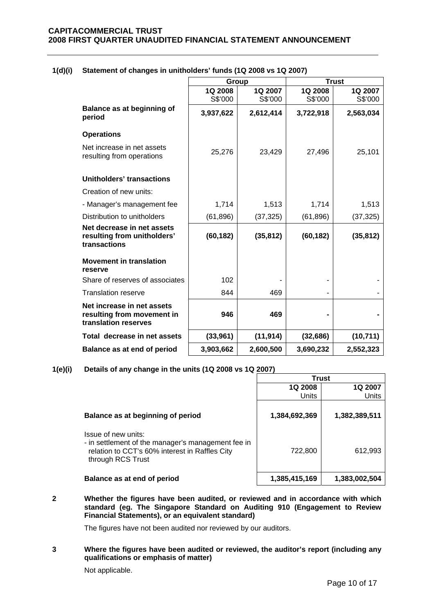|                                                                                  | Group     |           |           | <b>Trust</b> |
|----------------------------------------------------------------------------------|-----------|-----------|-----------|--------------|
|                                                                                  | 1Q 2008   | 1Q 2007   | 1Q 2008   | 1Q 2007      |
|                                                                                  | S\$'000   | S\$'000   | S\$'000   | S\$'000      |
| Balance as at beginning of<br>period                                             | 3,937,622 | 2,612,414 | 3,722,918 | 2,563,034    |
| <b>Operations</b>                                                                |           |           |           |              |
| Net increase in net assets<br>resulting from operations                          | 25,276    | 23,429    | 27,496    | 25,101       |
| Unitholders' transactions                                                        |           |           |           |              |
| Creation of new units:                                                           |           |           |           |              |
| - Manager's management fee                                                       | 1,714     | 1,513     | 1,714     | 1,513        |
| Distribution to unitholders                                                      | (61, 896) | (37, 325) | (61, 896) | (37, 325)    |
| Net decrease in net assets<br>resulting from unitholders'<br>transactions        | (60, 182) | (35, 812) | (60, 182) | (35, 812)    |
| <b>Movement in translation</b><br>reserve                                        |           |           |           |              |
| Share of reserves of associates                                                  | 102       |           |           |              |
| <b>Translation reserve</b>                                                       | 844       | 469       |           |              |
| Net increase in net assets<br>resulting from movement in<br>translation reserves | 946       | 469       |           |              |
| Total decrease in net assets                                                     | (33,961)  | (11, 914) | (32, 686) | (10, 711)    |
| Balance as at end of period                                                      | 3,903,662 | 2,600,500 | 3,690,232 | 2,552,323    |

# **1(d)(i) Statement of changes in unitholders' funds (1Q 2008 vs 1Q 2007)**

# **1(e)(i) Details of any change in the units (1Q 2008 vs 1Q 2007)**

|                                                                                                                                                  | Trust         |               |  |
|--------------------------------------------------------------------------------------------------------------------------------------------------|---------------|---------------|--|
|                                                                                                                                                  | 1Q 2008       | 1Q 2007       |  |
|                                                                                                                                                  | <b>Units</b>  | Units         |  |
| Balance as at beginning of period                                                                                                                | 1,384,692,369 | 1,382,389,511 |  |
| Issue of new units:<br>- in settlement of the manager's management fee in<br>relation to CCT's 60% interest in Raffles City<br>through RCS Trust | 722,800       | 612,993       |  |
| Balance as at end of period                                                                                                                      | 1,385,415,169 | 1,383,002,504 |  |

**2 Whether the figures have been audited, or reviewed and in accordance with which standard (eg. The Singapore Standard on Auditing 910 (Engagement to Review Financial Statements), or an equivalent standard)** 

The figures have not been audited nor reviewed by our auditors.

**3 Where the figures have been audited or reviewed, the auditor's report (including any qualifications or emphasis of matter)** 

Not applicable.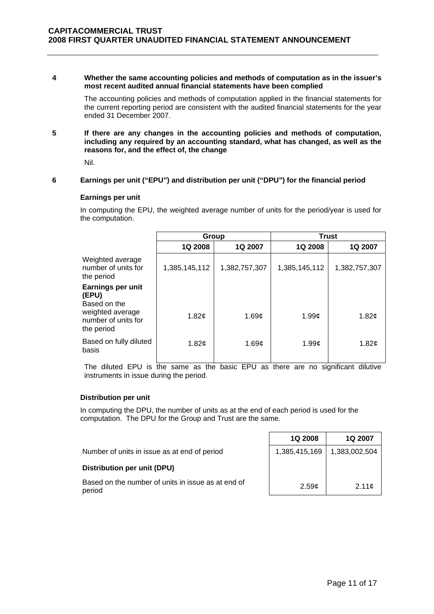### **4 Whether the same accounting policies and methods of computation as in the issuer's most recent audited annual financial statements have been complied**

The accounting policies and methods of computation applied in the financial statements for the current reporting period are consistent with the audited financial statements for the year ended 31 December 2007.

**5 If there are any changes in the accounting policies and methods of computation, including any required by an accounting standard, what has changed, as well as the reasons for, and the effect of, the change** 

Nil.

## **6 Earnings per unit ("EPU") and distribution per unit ("DPU") for the financial period**

### **Earnings per unit**

In computing the EPU, the weighted average number of units for the period/year is used for the computation.

|                                                       | Group               |               | <b>Trust</b>  |                     |
|-------------------------------------------------------|---------------------|---------------|---------------|---------------------|
|                                                       | <b>1Q 2008</b>      | 1Q 2007       | 1Q 2008       | <b>1Q 2007</b>      |
| Weighted average<br>number of units for<br>the period | 1,385,145,112       | 1,382,757,307 | 1,385,145,112 | 1,382,757,307       |
| Earnings per unit<br>(EPU)<br>Based on the            |                     |               |               |                     |
| weighted average<br>number of units for<br>the period | 1.82 $\mathfrak{c}$ | 1.69c         | 1.99c         | 1.82 $\mathfrak{c}$ |
| Based on fully diluted<br>basis                       | 1.82 $\mathfrak{c}$ | 1.69c         | 1.99c         | 1.82 $\mathfrak{c}$ |

The diluted EPU is the same as the basic EPU as there are no significant dilutive instruments in issue during the period.

### **Distribution per unit**

In computing the DPU, the number of units as at the end of each period is used for the computation. The DPU for the Group and Trust are the same.

|                                                              | 1Q 2008       | 1Q 2007       |
|--------------------------------------------------------------|---------------|---------------|
| Number of units in issue as at end of period                 | 1,385,415,169 | 1,383,002,504 |
| Distribution per unit (DPU)                                  |               |               |
| Based on the number of units in issue as at end of<br>period | 2.59c         | 2.11c         |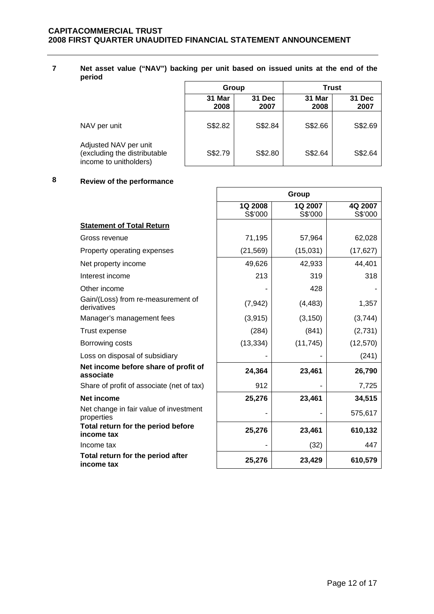**7 Net asset value ("NAV") backing per unit based on issued units at the end of the period** 

|                                                                                 | <b>Trust</b><br>Group |                |                |                |  |
|---------------------------------------------------------------------------------|-----------------------|----------------|----------------|----------------|--|
|                                                                                 | 31 Mar<br>2008        | 31 Dec<br>2007 | 31 Mar<br>2008 | 31 Dec<br>2007 |  |
| NAV per unit                                                                    | S\$2.82               | S\$2.84        | S\$2.66        | S\$2.69        |  |
| Adjusted NAV per unit<br>(excluding the distributable<br>income to unitholders) | S\$2.79               | S\$2.80        | S\$2.64        | S\$2.64        |  |

 $\overline{\phantom{0}}$ 

# **8 Review of the performance**

|                                                      | Group              |                    |                    |
|------------------------------------------------------|--------------------|--------------------|--------------------|
|                                                      | 1Q 2008<br>S\$'000 | 1Q 2007<br>S\$'000 | 4Q 2007<br>S\$'000 |
| <b>Statement of Total Return</b>                     |                    |                    |                    |
| Gross revenue                                        | 71,195             | 57,964             | 62,028             |
| Property operating expenses                          | (21, 569)          | (15,031)           | (17, 627)          |
| Net property income                                  | 49,626             | 42,933             | 44,401             |
| Interest income                                      | 213                | 319                | 318                |
| Other income                                         |                    | 428                |                    |
| Gain/(Loss) from re-measurement of<br>derivatives    | (7, 942)           | (4, 483)           | 1,357              |
| Manager's management fees                            | (3, 915)           | (3, 150)           | (3,744)            |
| <b>Trust expense</b>                                 | (284)              | (841)              | (2,731)            |
| Borrowing costs                                      | (13, 334)          | (11, 745)          | (12, 570)          |
| Loss on disposal of subsidiary                       |                    |                    | (241)              |
| Net income before share of profit of<br>associate    | 24,364             | 23,461             | 26,790             |
| Share of profit of associate (net of tax)            | 912                |                    | 7,725              |
| Net income                                           | 25,276             | 23,461             | 34,515             |
| Net change in fair value of investment<br>properties |                    |                    | 575,617            |
| Total return for the period before<br>income tax     | 25,276             | 23,461             | 610,132            |
| Income tax                                           |                    | (32)               | 447                |
| Total return for the period after<br>income tax      | 25,276             | 23,429             | 610,579            |

 $\overline{\phantom{a}}$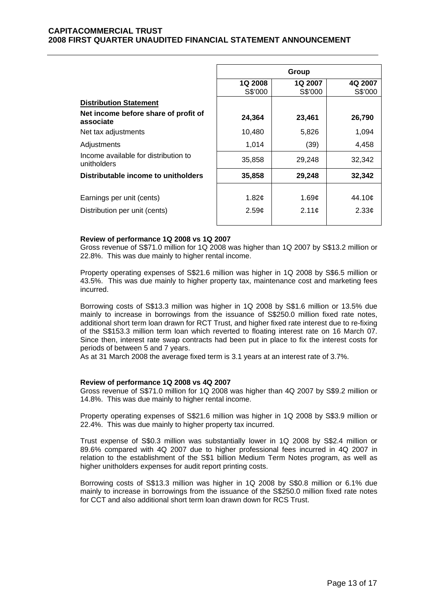|                                                     | Group                     |                    |                    |  |
|-----------------------------------------------------|---------------------------|--------------------|--------------------|--|
|                                                     | <b>1Q 2008</b><br>S\$'000 | 1Q 2007<br>S\$'000 | 4Q 2007<br>S\$'000 |  |
| <b>Distribution Statement</b>                       |                           |                    |                    |  |
| Net income before share of profit of<br>associate   | 24,364                    | 23,461             | 26,790             |  |
| Net tax adjustments                                 | 10,480                    | 5,826              | 1,094              |  |
| Adjustments                                         | 1,014                     | (39)               | 4,458              |  |
| Income available for distribution to<br>unitholders | 35,858                    | 29,248             | 32,342             |  |
| Distributable income to unitholders                 | 35,858                    | 29,248             | 32,342             |  |
|                                                     |                           |                    |                    |  |
| Earnings per unit (cents)                           | 1.82 $\mathfrak{c}$       | 1.69¢              | 44.10¢             |  |
| Distribution per unit (cents)                       | 2.59c                     | 2.11c              | 2.33 <sub>¢</sub>  |  |

### **Review of performance 1Q 2008 vs 1Q 2007**

Gross revenue of S\$71.0 million for 1Q 2008 was higher than 1Q 2007 by S\$13.2 million or 22.8%. This was due mainly to higher rental income.

Property operating expenses of S\$21.6 million was higher in 1Q 2008 by S\$6.5 million or 43.5%. This was due mainly to higher property tax, maintenance cost and marketing fees incurred.

Borrowing costs of S\$13.3 million was higher in 1Q 2008 by S\$1.6 million or 13.5% due mainly to increase in borrowings from the issuance of S\$250.0 million fixed rate notes, additional short term loan drawn for RCT Trust, and higher fixed rate interest due to re-fixing of the S\$153.3 million term loan which reverted to floating interest rate on 16 March 07. Since then, interest rate swap contracts had been put in place to fix the interest costs for periods of between 5 and 7 years.

As at 31 March 2008 the average fixed term is 3.1 years at an interest rate of 3.7%.

### **Review of performance 1Q 2008 vs 4Q 2007**

Gross revenue of S\$71.0 million for 1Q 2008 was higher than 4Q 2007 by S\$9.2 million or 14.8%. This was due mainly to higher rental income.

Property operating expenses of S\$21.6 million was higher in 1Q 2008 by S\$3.9 million or 22.4%. This was due mainly to higher property tax incurred.

Trust expense of S\$0.3 million was substantially lower in 1Q 2008 by S\$2.4 million or 89.6% compared with 4Q 2007 due to higher professional fees incurred in 4Q 2007 in relation to the establishment of the S\$1 billion Medium Term Notes program, as well as higher unitholders expenses for audit report printing costs.

Borrowing costs of S\$13.3 million was higher in 1Q 2008 by S\$0.8 million or 6.1% due mainly to increase in borrowings from the issuance of the S\$250.0 million fixed rate notes for CCT and also additional short term loan drawn down for RCS Trust.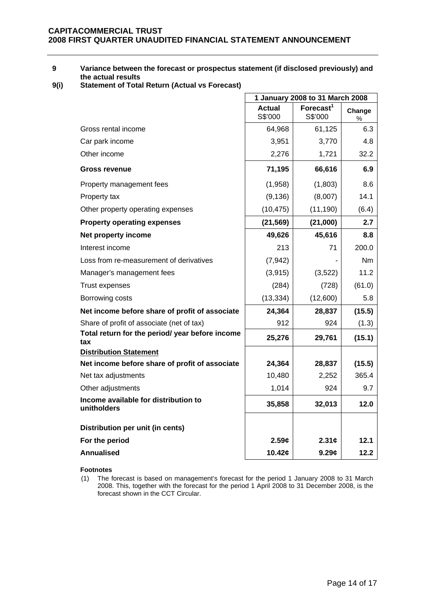## **9 Variance between the forecast or prospectus statement (if disclosed previously) and the actual results**

**9(i) Statement of Total Return (Actual vs Forecast)** 

|                                                        | 1 January 2008 to 31 March 2008 |                                  |             |
|--------------------------------------------------------|---------------------------------|----------------------------------|-------------|
|                                                        | <b>Actual</b><br>S\$'000        | Forecast <sup>1</sup><br>S\$'000 | Change<br>% |
| Gross rental income                                    | 64,968                          | 61,125                           | 6.3         |
| Car park income                                        | 3,951                           | 3,770                            | 4.8         |
| Other income                                           | 2,276                           | 1,721                            | 32.2        |
| <b>Gross revenue</b>                                   | 71,195                          | 66,616                           | 6.9         |
| Property management fees                               | (1,958)                         | (1,803)                          | 8.6         |
| Property tax                                           | (9, 136)                        | (8,007)                          | 14.1        |
| Other property operating expenses                      | (10, 475)                       | (11, 190)                        | (6.4)       |
| <b>Property operating expenses</b>                     | (21, 569)                       | (21,000)                         | 2.7         |
| Net property income                                    | 49,626                          | 45,616                           | 8.8         |
| Interest income                                        | 213                             | 71                               | 200.0       |
| Loss from re-measurement of derivatives                | (7, 942)                        |                                  | Nm.         |
| Manager's management fees                              | (3,915)                         | (3,522)                          | 11.2        |
| <b>Trust expenses</b>                                  | (284)                           | (728)                            | (61.0)      |
| Borrowing costs                                        | (13, 334)                       | (12,600)                         | 5.8         |
| Net income before share of profit of associate         | 24,364                          | 28,837                           | (15.5)      |
| Share of profit of associate (net of tax)              | 912                             | 924                              | (1.3)       |
| Total return for the period/ year before income<br>tax | 25,276                          | 29,761                           | (15.1)      |
| <b>Distribution Statement</b>                          |                                 |                                  |             |
| Net income before share of profit of associate         | 24,364                          | 28,837                           | (15.5)      |
| Net tax adjustments                                    | 10,480                          | 2,252                            | 365.4       |
| Other adjustments                                      | 1,014                           | 924                              | 9.7         |
| Income available for distribution to<br>unitholders    | 35,858                          | 32,013                           | 12.0        |
| Distribution per unit (in cents)                       |                                 |                                  |             |
| For the period                                         | 2.59c                           | 2.31c                            | 12.1        |
| <b>Annualised</b>                                      | 10.42¢                          | 9.29c                            | 12.2        |

**Footnotes**

(1) The forecast is based on management's forecast for the period 1 January 2008 to 31 March 2008. This, together with the forecast for the period 1 April 2008 to 31 December 2008, is the forecast shown in the CCT Circular.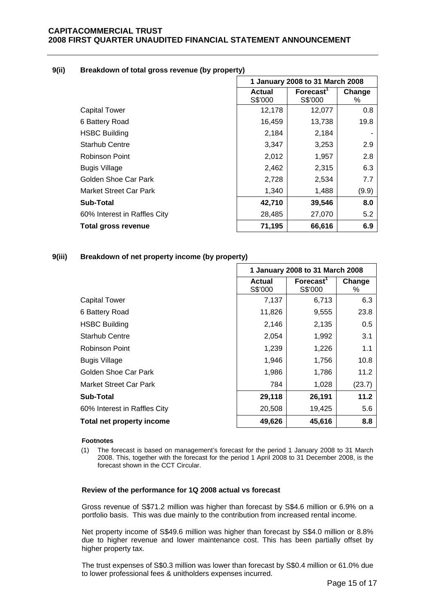### **9(ii) Breakdown of total gross revenue (by property)**

|                               | 1 January 2008 to 31 March 2008 |                            |             |
|-------------------------------|---------------------------------|----------------------------|-------------|
|                               | <b>Actual</b><br>S\$'000        | <b>Forecast</b><br>S\$'000 | Change<br>% |
| <b>Capital Tower</b>          | 12,178                          | 12,077                     | 0.8         |
| 6 Battery Road                | 16,459                          | 13,738                     | 19.8        |
| <b>HSBC Building</b>          | 2,184                           | 2,184                      |             |
| <b>Starhub Centre</b>         | 3,347                           | 3,253                      | 2.9         |
| <b>Robinson Point</b>         | 2,012                           | 1,957                      | 2.8         |
| <b>Bugis Village</b>          | 2,462                           | 2,315                      | 6.3         |
| Golden Shoe Car Park          | 2,728                           | 2,534                      | 7.7         |
| <b>Market Street Car Park</b> | 1,340                           | 1,488                      | (9.9)       |
| <b>Sub-Total</b>              | 42,710                          | 39,546                     | 8.0         |
| 60% Interest in Raffles City  | 28,485                          | 27,070                     | 5.2         |
| Total gross revenue           | 71,195                          | 66,616                     | 6.9         |

## **9(iii) Breakdown of net property income (by property)**

|                              | 1 January 2008 to 31 March 2008 |                                  |             |
|------------------------------|---------------------------------|----------------------------------|-------------|
|                              | <b>Actual</b><br>S\$'000        | Forecast <sup>1</sup><br>S\$'000 | Change<br>% |
| <b>Capital Tower</b>         | 7,137                           | 6,713                            | 6.3         |
| 6 Battery Road               | 11,826                          | 9,555                            | 23.8        |
| <b>HSBC Building</b>         | 2,146                           | 2,135                            | 0.5         |
| <b>Starhub Centre</b>        | 2,054                           | 1,992                            | 3.1         |
| Robinson Point               | 1,239                           | 1,226                            | 1.1         |
| <b>Bugis Village</b>         | 1,946                           | 1,756                            | 10.8        |
| Golden Shoe Car Park         | 1,986                           | 1,786                            | 11.2        |
| Market Street Car Park       | 784                             | 1,028                            | (23.7)      |
| Sub-Total                    | 29,118                          | 26,191                           | 11.2        |
| 60% Interest in Raffles City | 20,508                          | 19,425                           | 5.6         |
| Total net property income    | 49,626                          | 45,616                           | 8.8         |

### **Footnotes**

(1) The forecast is based on management's forecast for the period 1 January 2008 to 31 March 2008. This, together with the forecast for the period 1 April 2008 to 31 December 2008, is the forecast shown in the CCT Circular.

### **Review of the performance for 1Q 2008 actual vs forecast**

Gross revenue of S\$71.2 million was higher than forecast by S\$4.6 million or 6.9% on a portfolio basis. This was due mainly to the contribution from increased rental income.

Net property income of S\$49.6 million was higher than forecast by S\$4.0 million or 8.8% due to higher revenue and lower maintenance cost. This has been partially offset by higher property tax.

The trust expenses of S\$0.3 million was lower than forecast by S\$0.4 million or 61.0% due to lower professional fees & unitholders expenses incurred.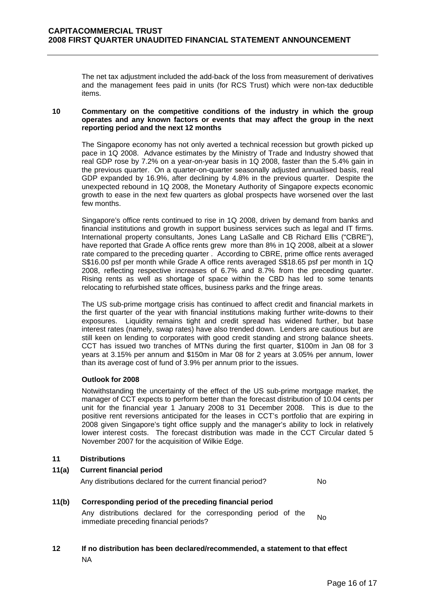The net tax adjustment included the add-back of the loss from measurement of derivatives and the management fees paid in units (for RCS Trust) which were non-tax deductible items.

### **10 Commentary on the competitive conditions of the industry in which the group operates and any known factors or events that may affect the group in the next reporting period and the next 12 months**

The Singapore economy has not only averted a technical recession but growth picked up pace in 1Q 2008. Advance estimates by the Ministry of Trade and Industry showed that real GDP rose by 7.2% on a year-on-year basis in 1Q 2008, faster than the 5.4% gain in the previous quarter. On a quarter-on-quarter seasonally adjusted annualised basis, real GDP expanded by 16.9%, after declining by 4.8% in the previous quarter. Despite the unexpected rebound in 1Q 2008, the Monetary Authority of Singapore expects economic growth to ease in the next few quarters as global prospects have worsened over the last few months.

Singapore's office rents continued to rise in 1Q 2008, driven by demand from banks and financial institutions and growth in support business services such as legal and IT firms. International property consultants, Jones Lang LaSalle and CB Richard Ellis ("CBRE"), have reported that Grade A office rents grew more than 8% in 1Q 2008, albeit at a slower rate compared to the preceding quarter . According to CBRE, prime office rents averaged S\$16.00 psf per month while Grade A office rents averaged S\$18.65 psf per month in 1Q 2008, reflecting respective increases of 6.7% and 8.7% from the preceding quarter. Rising rents as well as shortage of space within the CBD has led to some tenants relocating to refurbished state offices, business parks and the fringe areas.

The US sub-prime mortgage crisis has continued to affect credit and financial markets in the first quarter of the year with financial institutions making further write-downs to their exposures. Liquidity remains tight and credit spread has widened further, but base interest rates (namely, swap rates) have also trended down. Lenders are cautious but are still keen on lending to corporates with good credit standing and strong balance sheets. CCT has issued two tranches of MTNs during the first quarter, \$100m in Jan 08 for 3 years at 3.15% per annum and \$150m in Mar 08 for 2 years at 3.05% per annum, lower than its average cost of fund of 3.9% per annum prior to the issues.

## **Outlook for 2008**

Notwithstanding the uncertainty of the effect of the US sub-prime mortgage market, the manager of CCT expects to perform better than the forecast distribution of 10.04 cents per unit for the financial year 1 January 2008 to 31 December 2008. This is due to the positive rent reversions anticipated for the leases in CCT's portfolio that are expiring in 2008 given Singapore's tight office supply and the manager's ability to lock in relatively lower interest costs. The forecast distribution was made in the CCT Circular dated 5 November 2007 for the acquisition of Wilkie Edge.

## **11 Distributions**

| 11(a) | <b>Current financial period</b>                              |     |  |  |
|-------|--------------------------------------------------------------|-----|--|--|
|       | Any distributions declared for the current financial period? | No. |  |  |

## **11(b) Corresponding period of the preceding financial period**

Any distributions declared for the corresponding period of the Any distributions declared for the corresponding period of the No.<br>immediate preceding financial periods?

# **12 If no distribution has been declared/recommended, a statement to that effect**  NA